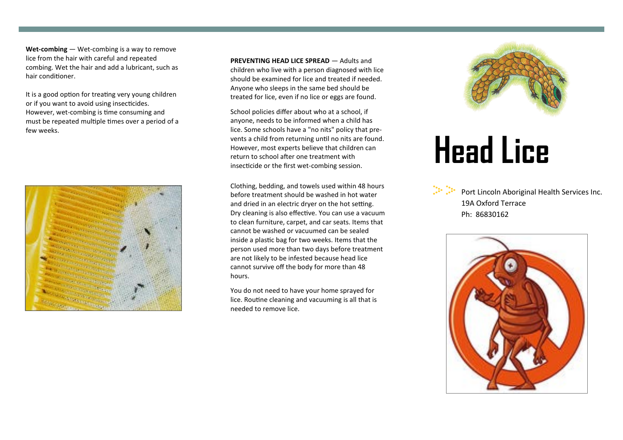**Wet-combing** — Wet-combing is a way to remove lice from the hair with careful and repeated combing. Wet the hair and add a lubricant, such as hair conditioner.

It is a good option for treating very young children or if you want to avoid using insecticides. However, wet-combing is time consuming and must be repeated multiple times over a period of a few weeks.



**PREVENTING HEAD LICE SPREAD** — Adults and children who live with a person diagnosed with lice should be examined for lice and treated if needed. Anyone who sleeps in the same bed should be treated for lice, even if no lice or eggs are found.

School policies differ about who at a school, if anyone, needs to be informed when a child has lice. Some schools have a "no nits" policy that prevents a child from returning until no nits are found. However, most experts believe that children can return to school after one treatment with insecticide or the first wet-combing session.

Clothing, bedding, and towels used within 48 hours before treatment should be washed in hot water and dried in an electric dryer on the hot setting. Dry cleaning is also effective. You can use a vacuum to clean furniture, carpet, and car seats. Items that cannot be washed or vacuumed can be sealed inside a plastic bag for two weeks. Items that the person used more than two days before treatment are not likely to be infested because head lice cannot survive off the body for more than 48 hours.

You do not need to have your home sprayed for lice. Routine cleaning and vacuuming is all that is needed to remove lice.



## **Head Lice**

Port Lincoln Aboriginal Health Services Inc. 19A Oxford Terrace Ph: 86830162